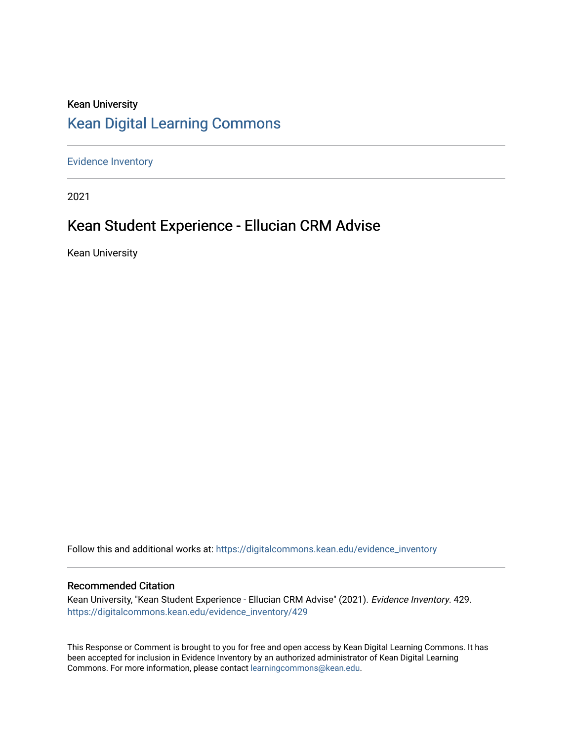## Kean University [Kean Digital Learning Commons](https://digitalcommons.kean.edu/)

[Evidence Inventory](https://digitalcommons.kean.edu/evidence_inventory) 

2021

# Kean Student Experience - Ellucian CRM Advise

Kean University

Follow this and additional works at: [https://digitalcommons.kean.edu/evidence\\_inventory](https://digitalcommons.kean.edu/evidence_inventory?utm_source=digitalcommons.kean.edu%2Fevidence_inventory%2F429&utm_medium=PDF&utm_campaign=PDFCoverPages)

#### Recommended Citation

Kean University, "Kean Student Experience - Ellucian CRM Advise" (2021). Evidence Inventory. 429. [https://digitalcommons.kean.edu/evidence\\_inventory/429](https://digitalcommons.kean.edu/evidence_inventory/429?utm_source=digitalcommons.kean.edu%2Fevidence_inventory%2F429&utm_medium=PDF&utm_campaign=PDFCoverPages)

This Response or Comment is brought to you for free and open access by Kean Digital Learning Commons. It has been accepted for inclusion in Evidence Inventory by an authorized administrator of Kean Digital Learning Commons. For more information, please contact [learningcommons@kean.edu.](mailto:learningcommons@kean.edu)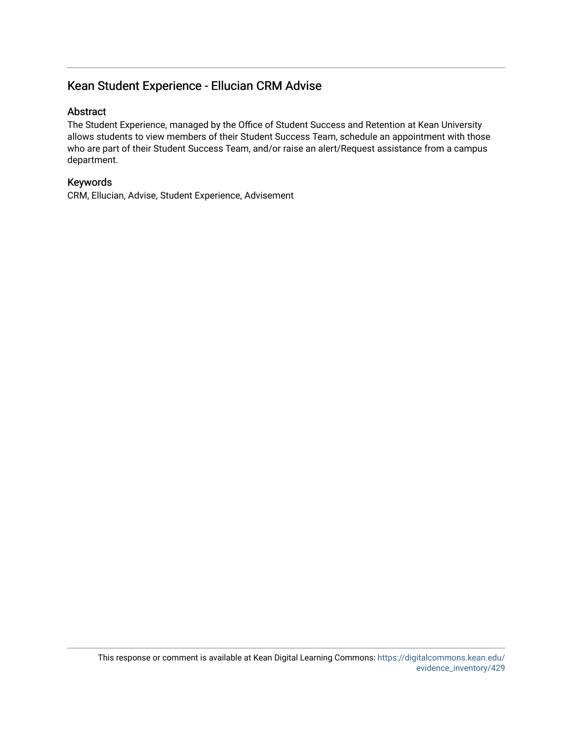## Kean Student Experience - Ellucian CRM Advise

## Abstract

The Student Experience, managed by the Office of Student Success and Retention at Kean University allows students to view members of their Student Success Team, schedule an appointment with those who are part of their Student Success Team, and/or raise an alert/Request assistance from a campus department.

## Keywords

CRM, Ellucian, Advise, Student Experience, Advisement